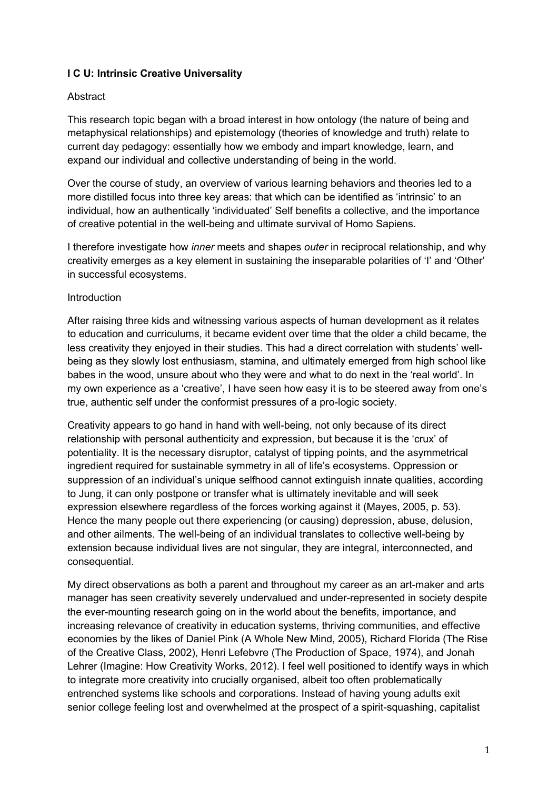# **I C U: Intrinsic Creative Universality**

## Abstract

This research topic began with a broad interest in how ontology (the nature of being and metaphysical relationships) and epistemology (theories of knowledge and truth) relate to current day pedagogy: essentially how we embody and impart knowledge, learn, and expand our individual and collective understanding of being in the world.

Over the course of study, an overview of various learning behaviors and theories led to a more distilled focus into three key areas: that which can be identified as 'intrinsic' to an individual, how an authentically 'individuated' Self benefits a collective, and the importance of creative potential in the well-being and ultimate survival of Homo Sapiens.

I therefore investigate how *inner* meets and shapes *outer* in reciprocal relationship, and why creativity emerges as a key element in sustaining the inseparable polarities of 'I' and 'Other' in successful ecosystems.

## Introduction

After raising three kids and witnessing various aspects of human development as it relates to education and curriculums, it became evident over time that the older a child became, the less creativity they enjoyed in their studies. This had a direct correlation with students' wellbeing as they slowly lost enthusiasm, stamina, and ultimately emerged from high school like babes in the wood, unsure about who they were and what to do next in the 'real world'. In my own experience as a 'creative', I have seen how easy it is to be steered away from one's true, authentic self under the conformist pressures of a pro-logic society.

Creativity appears to go hand in hand with well-being, not only because of its direct relationship with personal authenticity and expression, but because it is the 'crux' of potentiality. It is the necessary disruptor, catalyst of tipping points, and the asymmetrical ingredient required for sustainable symmetry in all of life's ecosystems. Oppression or suppression of an individual's unique selfhood cannot extinguish innate qualities, according to Jung, it can only postpone or transfer what is ultimately inevitable and will seek expression elsewhere regardless of the forces working against it (Mayes, 2005, p. 53). Hence the many people out there experiencing (or causing) depression, abuse, delusion, and other ailments. The well-being of an individual translates to collective well-being by extension because individual lives are not singular, they are integral, interconnected, and consequential.

My direct observations as both a parent and throughout my career as an art-maker and arts manager has seen creativity severely undervalued and under-represented in society despite the ever-mounting research going on in the world about the benefits, importance, and increasing relevance of creativity in education systems, thriving communities, and effective economies by the likes of Daniel Pink (A Whole New Mind, 2005), Richard Florida (The Rise of the Creative Class, 2002), Henri Lefebvre (The Production of Space, 1974), and Jonah Lehrer (Imagine: How Creativity Works, 2012). I feel well positioned to identify ways in which to integrate more creativity into crucially organised, albeit too often problematically entrenched systems like schools and corporations. Instead of having young adults exit senior college feeling lost and overwhelmed at the prospect of a spirit-squashing, capitalist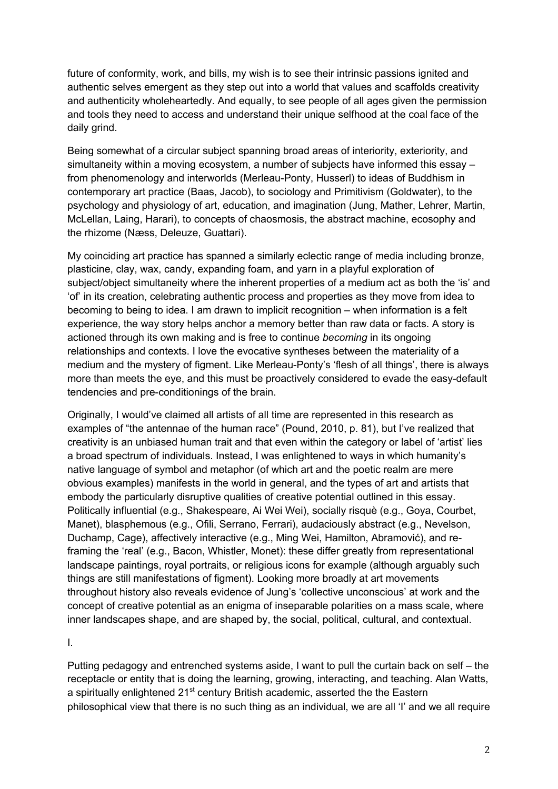future of conformity, work, and bills, my wish is to see their intrinsic passions ignited and authentic selves emergent as they step out into a world that values and scaffolds creativity and authenticity wholeheartedly. And equally, to see people of all ages given the permission and tools they need to access and understand their unique selfhood at the coal face of the daily grind.

Being somewhat of a circular subject spanning broad areas of interiority, exteriority, and simultaneity within a moving ecosystem, a number of subjects have informed this essay – from phenomenology and interworlds (Merleau-Ponty, Husserl) to ideas of Buddhism in contemporary art practice (Baas, Jacob), to sociology and Primitivism (Goldwater), to the psychology and physiology of art, education, and imagination (Jung, Mather, Lehrer, Martin, McLellan, Laing, Harari), to concepts of chaosmosis, the abstract machine, ecosophy and the rhizome (Næss, Deleuze, Guattari).

My coinciding art practice has spanned a similarly eclectic range of media including bronze, plasticine, clay, wax, candy, expanding foam, and yarn in a playful exploration of subject/object simultaneity where the inherent properties of a medium act as both the 'is' and 'of' in its creation, celebrating authentic process and properties as they move from idea to becoming to being to idea. I am drawn to implicit recognition – when information is a felt experience, the way story helps anchor a memory better than raw data or facts. A story is actioned through its own making and is free to continue *becoming* in its ongoing relationships and contexts. I love the evocative syntheses between the materiality of a medium and the mystery of figment. Like Merleau-Ponty's 'flesh of all things', there is always more than meets the eye, and this must be proactively considered to evade the easy-default tendencies and pre-conditionings of the brain.

Originally, I would've claimed all artists of all time are represented in this research as examples of "the antennae of the human race" (Pound, 2010, p. 81), but I've realized that creativity is an unbiased human trait and that even within the category or label of 'artist' lies a broad spectrum of individuals. Instead, I was enlightened to ways in which humanity's native language of symbol and metaphor (of which art and the poetic realm are mere obvious examples) manifests in the world in general, and the types of art and artists that embody the particularly disruptive qualities of creative potential outlined in this essay. Politically influential (e.g., Shakespeare, Ai Wei Wei), socially risquè (e.g., Goya, Courbet, Manet), blasphemous (e.g., Ofili, Serrano, Ferrari), audaciously abstract (e.g., Nevelson, Duchamp, Cage), affectively interactive (e.g., Ming Wei, Hamilton, Abramović), and reframing the 'real' (e.g., Bacon, Whistler, Monet): these differ greatly from representational landscape paintings, royal portraits, or religious icons for example (although arguably such things are still manifestations of figment). Looking more broadly at art movements throughout history also reveals evidence of Jung's 'collective unconscious' at work and the concept of creative potential as an enigma of inseparable polarities on a mass scale, where inner landscapes shape, and are shaped by, the social, political, cultural, and contextual.

I.

Putting pedagogy and entrenched systems aside, I want to pull the curtain back on self – the receptacle or entity that is doing the learning, growing, interacting, and teaching. Alan Watts, a spiritually enlightened 21<sup>st</sup> century British academic, asserted the the Eastern philosophical view that there is no such thing as an individual, we are all 'I' and we all require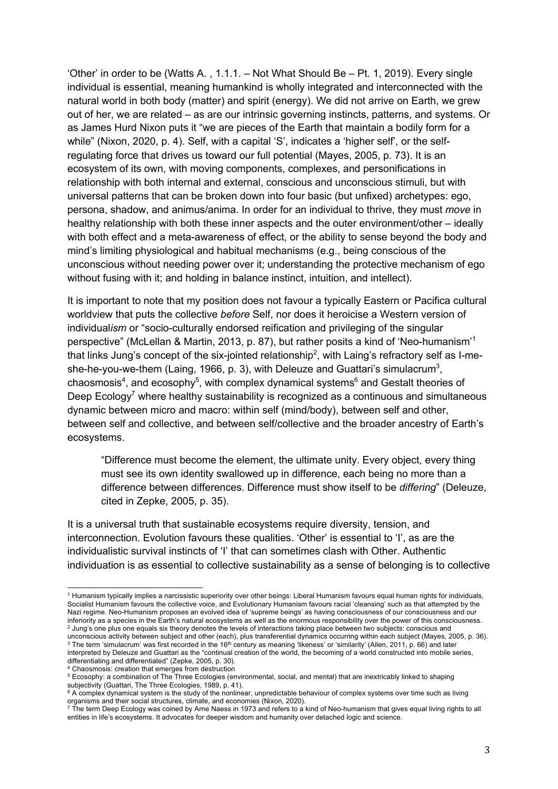'Other' in order to be (Watts A. , 1.1.1. – Not What Should Be – Pt. 1, 2019). Every single individual is essential, meaning humankind is wholly integrated and interconnected with the natural world in both body (matter) and spirit (energy). We did not arrive on Earth, we grew out of her, we are related – as are our intrinsic governing instincts, patterns, and systems. Or as James Hurd Nixon puts it "we are pieces of the Earth that maintain a bodily form for a while" (Nixon, 2020, p. 4). Self, with a capital 'S', indicates a 'higher self', or the selfregulating force that drives us toward our full potential (Mayes, 2005, p. 73). It is an ecosystem of its own, with moving components, complexes, and personifications in relationship with both internal and external, conscious and unconscious stimuli, but with universal patterns that can be broken down into four basic (but unfixed) archetypes: ego, persona, shadow, and animus/anima. In order for an individual to thrive, they must *move* in healthy relationship with both these inner aspects and the outer environment/other – ideally with both effect and a meta-awareness of effect, or the ability to sense beyond the body and mind's limiting physiological and habitual mechanisms (e.g., being conscious of the unconscious without needing power over it; understanding the protective mechanism of ego without fusing with it; and holding in balance instinct, intuition, and intellect).

It is important to note that my position does not favour a typically Eastern or Pacifica cultural worldview that puts the collective *before* Self, nor does it heroicise a Western version of individual*ism* or "socio-culturally endorsed reification and privileging of the singular perspective" (McLellan & Martin, 2013, p. 87), but rather posits a kind of 'Neo-humanism'<sup>1</sup> that links Jung's concept of the six-jointed relationship<sup>2</sup>, with Laing's refractory self as I-meshe-he-you-we-them (Laing, 1966, p. 3), with Deleuze and Guattari's simulacrum<sup>3</sup>, chaosmosis<sup>4</sup>, and ecosophy<sup>5</sup>, with complex dynamical systems<sup>6</sup> and Gestalt theories of Deep  $E$ cology<sup>7</sup> where healthy sustainability is recognized as a continuous and simultaneous dynamic between micro and macro: within self (mind/body), between self and other, between self and collective, and between self/collective and the broader ancestry of Earth's ecosystems.

"Difference must become the element, the ultimate unity. Every object, every thing must see its own identity swallowed up in difference, each being no more than a difference between differences. Difference must show itself to be *differing*" (Deleuze, cited in Zepke, 2005, p. 35).

It is a universal truth that sustainable ecosystems require diversity, tension, and interconnection. Evolution favours these qualities. 'Other' is essential to 'I', as are the individualistic survival instincts of 'I' that can sometimes clash with Other. Authentic individuation is as essential to collective sustainability as a sense of belonging is to collective

<sup>1</sup> Humanism typically implies a narcissistic superiority over other beings: Liberal Humanism favours equal human rights for individuals, Socialist Humanism favours the collective voice, and Evolutionary Humanism favours racial 'cleansing' such as that attempted by the Nazi regime. Neo-Humanism proposes an evolved idea of 'supreme beings' as having consciousness of our consciousness and our inferiority as a species in the Earth's natural ecosystems as well as the enormous responsibility over the power of this consciousness.<br><sup>2</sup> Jung's one plus one equals six theory denotes the levels of interactions taking pl

unconscious activity between subject and other (each), plus transferential dynamics occurring within each subject (Mayes, 2005, p. 36). <sup>3</sup> The term 'simulacrum' was first recorded in the 16<sup>th</sup> century as meaning 'likeness' or 'similarity' (Allen, 2011, p. 66) and later interpreted by Deleuze and Guattari as the "continual creation of the world, the becoming of a world constructed into mobile series, differentiating and differentiated" (Zepke, 2005, p. 30).

<sup>4</sup> Chaosmosis: creation that emerges from destruction

<sup>5</sup> Ecosophy: a combination of The Three Ecologies (environmental, social, and mental) that are inextricably linked to shaping subjectivity (Guattari, The Three Ecologies, 1989, p. 41).

 $^6$  A complex dynamical system is the study of the nonlinear, unpredictable behaviour of complex systems over time such as living organisms and their social structures, climate, and economies (Nixon, 2020).<br>
<sup>7</sup> The term Deep Ecology was coined by Arne Naess in 1973 and refers to a kind of Neo-humanism that gives equal living rights to all<br>
<sup>7</sup> The t

entities in life's ecosystems. It advocates for deeper wisdom and humanity over detached logic and science.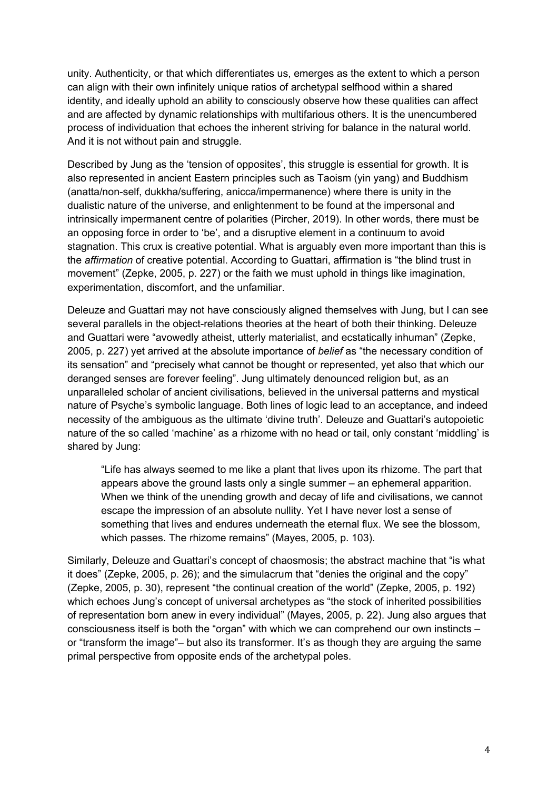unity. Authenticity, or that which differentiates us, emerges as the extent to which a person can align with their own infinitely unique ratios of archetypal selfhood within a shared identity, and ideally uphold an ability to consciously observe how these qualities can affect and are affected by dynamic relationships with multifarious others. It is the unencumbered process of individuation that echoes the inherent striving for balance in the natural world. And it is not without pain and struggle.

Described by Jung as the 'tension of opposites', this struggle is essential for growth. It is also represented in ancient Eastern principles such as Taoism (yin yang) and Buddhism (anatta/non-self, dukkha/suffering, anicca/impermanence) where there is unity in the dualistic nature of the universe, and enlightenment to be found at the impersonal and intrinsically impermanent centre of polarities (Pircher, 2019). In other words, there must be an opposing force in order to 'be', and a disruptive element in a continuum to avoid stagnation. This crux is creative potential. What is arguably even more important than this is the *affirmation* of creative potential. According to Guattari, affirmation is "the blind trust in movement" (Zepke, 2005, p. 227) or the faith we must uphold in things like imagination, experimentation, discomfort, and the unfamiliar.

Deleuze and Guattari may not have consciously aligned themselves with Jung, but I can see several parallels in the object-relations theories at the heart of both their thinking. Deleuze and Guattari were "avowedly atheist, utterly materialist, and ecstatically inhuman" (Zepke, 2005, p. 227) yet arrived at the absolute importance of *belief* as "the necessary condition of its sensation" and "precisely what cannot be thought or represented, yet also that which our deranged senses are forever feeling". Jung ultimately denounced religion but, as an unparalleled scholar of ancient civilisations, believed in the universal patterns and mystical nature of Psyche's symbolic language. Both lines of logic lead to an acceptance, and indeed necessity of the ambiguous as the ultimate 'divine truth'. Deleuze and Guattari's autopoietic nature of the so called 'machine' as a rhizome with no head or tail, only constant 'middling' is shared by Jung:

"Life has always seemed to me like a plant that lives upon its rhizome. The part that appears above the ground lasts only a single summer – an ephemeral apparition. When we think of the unending growth and decay of life and civilisations, we cannot escape the impression of an absolute nullity. Yet I have never lost a sense of something that lives and endures underneath the eternal flux. We see the blossom, which passes. The rhizome remains" (Mayes, 2005, p. 103).

Similarly, Deleuze and Guattari's concept of chaosmosis; the abstract machine that "is what it does" (Zepke, 2005, p. 26); and the simulacrum that "denies the original and the copy" (Zepke, 2005, p. 30), represent "the continual creation of the world" (Zepke, 2005, p. 192) which echoes Jung's concept of universal archetypes as "the stock of inherited possibilities of representation born anew in every individual" (Mayes, 2005, p. 22). Jung also argues that consciousness itself is both the "organ" with which we can comprehend our own instincts – or "transform the image"– but also its transformer. It's as though they are arguing the same primal perspective from opposite ends of the archetypal poles.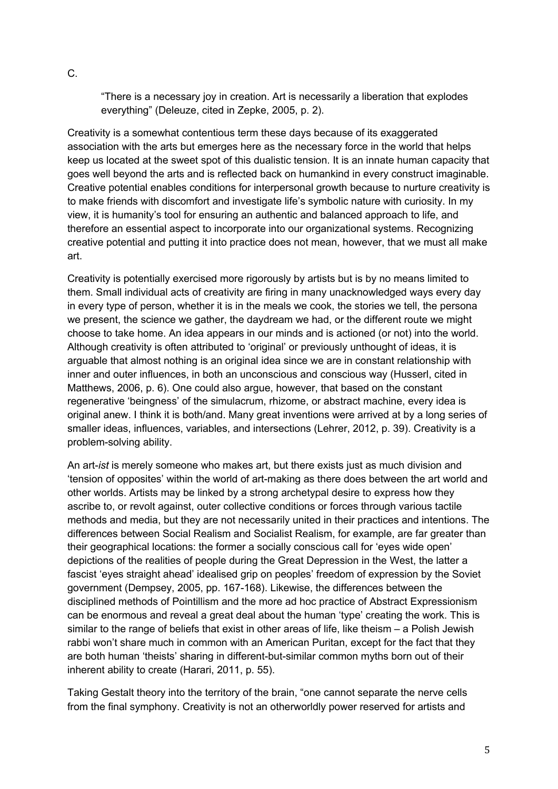"There is a necessary joy in creation. Art is necessarily a liberation that explodes everything" (Deleuze, cited in Zepke, 2005, p. 2).

Creativity is a somewhat contentious term these days because of its exaggerated association with the arts but emerges here as the necessary force in the world that helps keep us located at the sweet spot of this dualistic tension. It is an innate human capacity that goes well beyond the arts and is reflected back on humankind in every construct imaginable. Creative potential enables conditions for interpersonal growth because to nurture creativity is to make friends with discomfort and investigate life's symbolic nature with curiosity. In my view, it is humanity's tool for ensuring an authentic and balanced approach to life, and therefore an essential aspect to incorporate into our organizational systems. Recognizing creative potential and putting it into practice does not mean, however, that we must all make art.

Creativity is potentially exercised more rigorously by artists but is by no means limited to them. Small individual acts of creativity are firing in many unacknowledged ways every day in every type of person, whether it is in the meals we cook, the stories we tell, the persona we present, the science we gather, the daydream we had, or the different route we might choose to take home. An idea appears in our minds and is actioned (or not) into the world. Although creativity is often attributed to 'original' or previously unthought of ideas, it is arguable that almost nothing is an original idea since we are in constant relationship with inner and outer influences, in both an unconscious and conscious way (Husserl, cited in Matthews, 2006, p. 6). One could also argue, however, that based on the constant regenerative 'beingness' of the simulacrum, rhizome, or abstract machine, every idea is original anew. I think it is both/and. Many great inventions were arrived at by a long series of smaller ideas, influences, variables, and intersections (Lehrer, 2012, p. 39). Creativity is a problem-solving ability.

An art-*ist* is merely someone who makes art, but there exists just as much division and 'tension of opposites' within the world of art-making as there does between the art world and other worlds. Artists may be linked by a strong archetypal desire to express how they ascribe to, or revolt against, outer collective conditions or forces through various tactile methods and media, but they are not necessarily united in their practices and intentions. The differences between Social Realism and Socialist Realism, for example, are far greater than their geographical locations: the former a socially conscious call for 'eyes wide open' depictions of the realities of people during the Great Depression in the West, the latter a fascist 'eyes straight ahead' idealised grip on peoples' freedom of expression by the Soviet government (Dempsey, 2005, pp. 167-168). Likewise, the differences between the disciplined methods of Pointillism and the more ad hoc practice of Abstract Expressionism can be enormous and reveal a great deal about the human 'type' creating the work. This is similar to the range of beliefs that exist in other areas of life, like theism – a Polish Jewish rabbi won't share much in common with an American Puritan, except for the fact that they are both human 'theists' sharing in different-but-similar common myths born out of their inherent ability to create (Harari, 2011, p. 55).

Taking Gestalt theory into the territory of the brain, "one cannot separate the nerve cells from the final symphony. Creativity is not an otherworldly power reserved for artists and

C.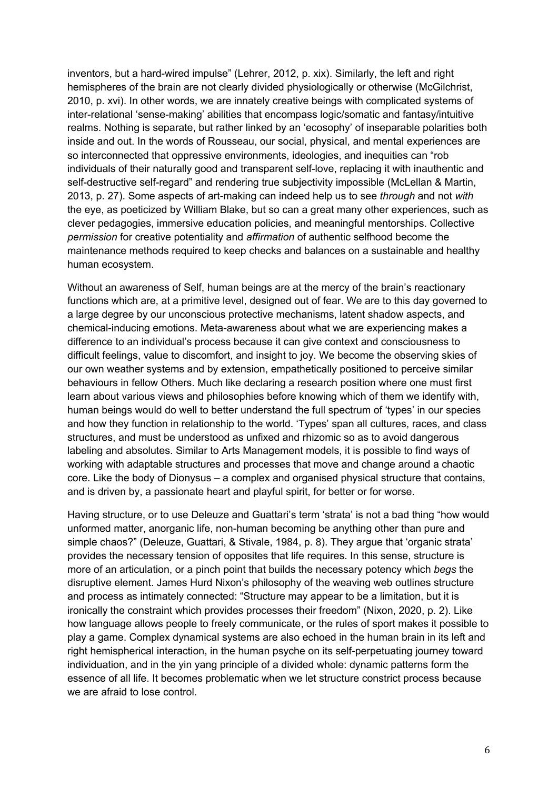inventors, but a hard-wired impulse" (Lehrer, 2012, p. xix). Similarly, the left and right hemispheres of the brain are not clearly divided physiologically or otherwise (McGilchrist, 2010, p. xvi). In other words, we are innately creative beings with complicated systems of inter-relational 'sense-making' abilities that encompass logic/somatic and fantasy/intuitive realms. Nothing is separate, but rather linked by an 'ecosophy' of inseparable polarities both inside and out. In the words of Rousseau, our social, physical, and mental experiences are so interconnected that oppressive environments, ideologies, and inequities can "rob individuals of their naturally good and transparent self-love, replacing it with inauthentic and self-destructive self-regard" and rendering true subjectivity impossible (McLellan & Martin, 2013, p. 27). Some aspects of art-making can indeed help us to see *through* and not *with* the eye, as poeticized by William Blake, but so can a great many other experiences, such as clever pedagogies, immersive education policies, and meaningful mentorships. Collective *permission* for creative potentiality and *affirmation* of authentic selfhood become the maintenance methods required to keep checks and balances on a sustainable and healthy human ecosystem.

Without an awareness of Self, human beings are at the mercy of the brain's reactionary functions which are, at a primitive level, designed out of fear. We are to this day governed to a large degree by our unconscious protective mechanisms, latent shadow aspects, and chemical-inducing emotions. Meta-awareness about what we are experiencing makes a difference to an individual's process because it can give context and consciousness to difficult feelings, value to discomfort, and insight to joy. We become the observing skies of our own weather systems and by extension, empathetically positioned to perceive similar behaviours in fellow Others. Much like declaring a research position where one must first learn about various views and philosophies before knowing which of them we identify with, human beings would do well to better understand the full spectrum of 'types' in our species and how they function in relationship to the world. 'Types' span all cultures, races, and class structures, and must be understood as unfixed and rhizomic so as to avoid dangerous labeling and absolutes. Similar to Arts Management models, it is possible to find ways of working with adaptable structures and processes that move and change around a chaotic core. Like the body of Dionysus – a complex and organised physical structure that contains, and is driven by, a passionate heart and playful spirit, for better or for worse.

Having structure, or to use Deleuze and Guattari's term 'strata' is not a bad thing "how would unformed matter, anorganic life, non-human becoming be anything other than pure and simple chaos?" (Deleuze, Guattari, & Stivale, 1984, p. 8). They argue that 'organic strata' provides the necessary tension of opposites that life requires. In this sense, structure is more of an articulation, or a pinch point that builds the necessary potency which *begs* the disruptive element. James Hurd Nixon's philosophy of the weaving web outlines structure and process as intimately connected: "Structure may appear to be a limitation, but it is ironically the constraint which provides processes their freedom" (Nixon, 2020, p. 2). Like how language allows people to freely communicate, or the rules of sport makes it possible to play a game. Complex dynamical systems are also echoed in the human brain in its left and right hemispherical interaction, in the human psyche on its self-perpetuating journey toward individuation, and in the yin yang principle of a divided whole: dynamic patterns form the essence of all life. It becomes problematic when we let structure constrict process because we are afraid to lose control.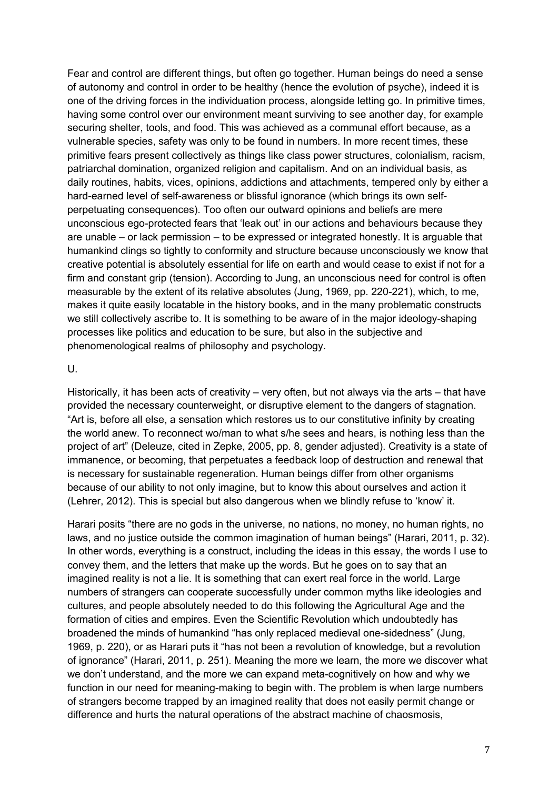Fear and control are different things, but often go together. Human beings do need a sense of autonomy and control in order to be healthy (hence the evolution of psyche), indeed it is one of the driving forces in the individuation process, alongside letting go. In primitive times, having some control over our environment meant surviving to see another day, for example securing shelter, tools, and food. This was achieved as a communal effort because, as a vulnerable species, safety was only to be found in numbers. In more recent times, these primitive fears present collectively as things like class power structures, colonialism, racism, patriarchal domination, organized religion and capitalism. And on an individual basis, as daily routines, habits, vices, opinions, addictions and attachments, tempered only by either a hard-earned level of self-awareness or blissful ignorance (which brings its own selfperpetuating consequences). Too often our outward opinions and beliefs are mere unconscious ego-protected fears that 'leak out' in our actions and behaviours because they are unable – or lack permission – to be expressed or integrated honestly. It is arguable that humankind clings so tightly to conformity and structure because unconsciously we know that creative potential is absolutely essential for life on earth and would cease to exist if not for a firm and constant grip (tension). According to Jung, an unconscious need for control is often measurable by the extent of its relative absolutes (Jung, 1969, pp. 220-221), which, to me, makes it quite easily locatable in the history books, and in the many problematic constructs we still collectively ascribe to. It is something to be aware of in the major ideology-shaping processes like politics and education to be sure, but also in the subjective and phenomenological realms of philosophy and psychology.

#### $U$ .

Historically, it has been acts of creativity – very often, but not always via the arts – that have provided the necessary counterweight, or disruptive element to the dangers of stagnation. "Art is, before all else, a sensation which restores us to our constitutive infinity by creating the world anew. To reconnect wo/man to what s/he sees and hears, is nothing less than the project of art" (Deleuze, cited in Zepke, 2005, pp. 8, gender adjusted). Creativity is a state of immanence, or becoming, that perpetuates a feedback loop of destruction and renewal that is necessary for sustainable regeneration. Human beings differ from other organisms because of our ability to not only imagine, but to know this about ourselves and action it (Lehrer, 2012). This is special but also dangerous when we blindly refuse to 'know' it.

Harari posits "there are no gods in the universe, no nations, no money, no human rights, no laws, and no justice outside the common imagination of human beings" (Harari, 2011, p. 32). In other words, everything is a construct, including the ideas in this essay, the words I use to convey them, and the letters that make up the words. But he goes on to say that an imagined reality is not a lie. It is something that can exert real force in the world. Large numbers of strangers can cooperate successfully under common myths like ideologies and cultures, and people absolutely needed to do this following the Agricultural Age and the formation of cities and empires. Even the Scientific Revolution which undoubtedly has broadened the minds of humankind "has only replaced medieval one-sidedness" (Jung, 1969, p. 220), or as Harari puts it "has not been a revolution of knowledge, but a revolution of ignorance" (Harari, 2011, p. 251). Meaning the more we learn, the more we discover what we don't understand, and the more we can expand meta-cognitively on how and why we function in our need for meaning-making to begin with. The problem is when large numbers of strangers become trapped by an imagined reality that does not easily permit change or difference and hurts the natural operations of the abstract machine of chaosmosis,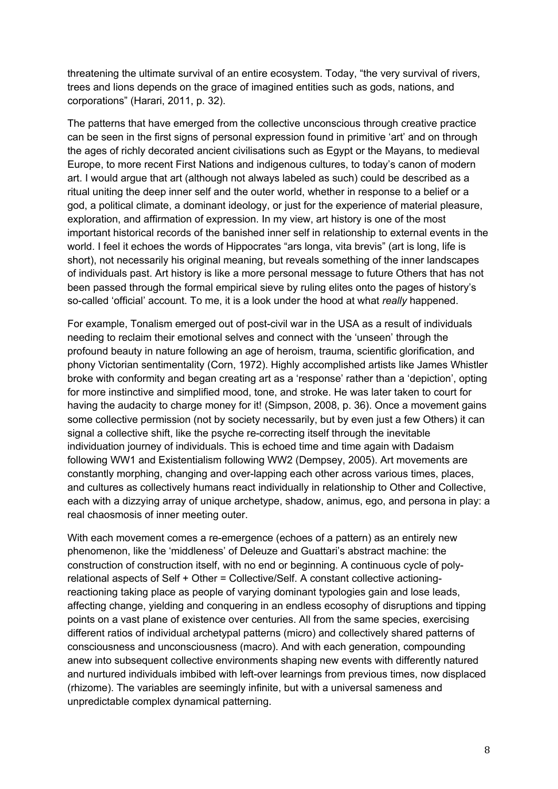threatening the ultimate survival of an entire ecosystem. Today, "the very survival of rivers, trees and lions depends on the grace of imagined entities such as gods, nations, and corporations" (Harari, 2011, p. 32).

The patterns that have emerged from the collective unconscious through creative practice can be seen in the first signs of personal expression found in primitive 'art' and on through the ages of richly decorated ancient civilisations such as Egypt or the Mayans, to medieval Europe, to more recent First Nations and indigenous cultures, to today's canon of modern art. I would argue that art (although not always labeled as such) could be described as a ritual uniting the deep inner self and the outer world, whether in response to a belief or a god, a political climate, a dominant ideology, or just for the experience of material pleasure, exploration, and affirmation of expression. In my view, art history is one of the most important historical records of the banished inner self in relationship to external events in the world. I feel it echoes the words of Hippocrates "ars longa, vita brevis" (art is long, life is short), not necessarily his original meaning, but reveals something of the inner landscapes of individuals past. Art history is like a more personal message to future Others that has not been passed through the formal empirical sieve by ruling elites onto the pages of history's so-called 'official' account. To me, it is a look under the hood at what *really* happened.

For example, Tonalism emerged out of post-civil war in the USA as a result of individuals needing to reclaim their emotional selves and connect with the 'unseen' through the profound beauty in nature following an age of heroism, trauma, scientific glorification, and phony Victorian sentimentality (Corn, 1972). Highly accomplished artists like James Whistler broke with conformity and began creating art as a 'response' rather than a 'depiction', opting for more instinctive and simplified mood, tone, and stroke. He was later taken to court for having the audacity to charge money for it! (Simpson, 2008, p. 36). Once a movement gains some collective permission (not by society necessarily, but by even just a few Others) it can signal a collective shift, like the psyche re-correcting itself through the inevitable individuation journey of individuals. This is echoed time and time again with Dadaism following WW1 and Existentialism following WW2 (Dempsey, 2005). Art movements are constantly morphing, changing and over-lapping each other across various times, places, and cultures as collectively humans react individually in relationship to Other and Collective, each with a dizzying array of unique archetype, shadow, animus, ego, and persona in play: a real chaosmosis of inner meeting outer.

With each movement comes a re-emergence (echoes of a pattern) as an entirely new phenomenon, like the 'middleness' of Deleuze and Guattari's abstract machine: the construction of construction itself, with no end or beginning. A continuous cycle of polyrelational aspects of Self + Other = Collective/Self. A constant collective actioningreactioning taking place as people of varying dominant typologies gain and lose leads, affecting change, yielding and conquering in an endless ecosophy of disruptions and tipping points on a vast plane of existence over centuries. All from the same species, exercising different ratios of individual archetypal patterns (micro) and collectively shared patterns of consciousness and unconsciousness (macro). And with each generation, compounding anew into subsequent collective environments shaping new events with differently natured and nurtured individuals imbibed with left-over learnings from previous times, now displaced (rhizome). The variables are seemingly infinite, but with a universal sameness and unpredictable complex dynamical patterning.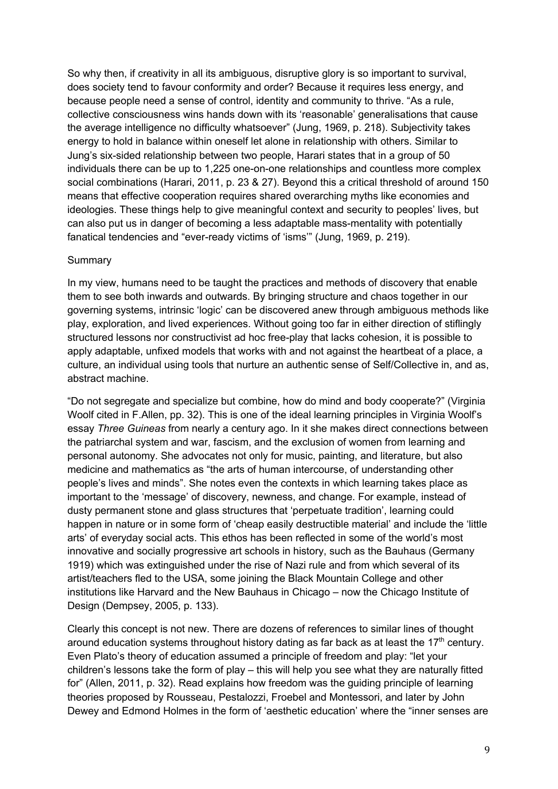So why then, if creativity in all its ambiguous, disruptive glory is so important to survival, does society tend to favour conformity and order? Because it requires less energy, and because people need a sense of control, identity and community to thrive. "As a rule, collective consciousness wins hands down with its 'reasonable' generalisations that cause the average intelligence no difficulty whatsoever" (Jung, 1969, p. 218). Subjectivity takes energy to hold in balance within oneself let alone in relationship with others. Similar to Jung's six-sided relationship between two people, Harari states that in a group of 50 individuals there can be up to 1,225 one-on-one relationships and countless more complex social combinations (Harari, 2011, p. 23 & 27). Beyond this a critical threshold of around 150 means that effective cooperation requires shared overarching myths like economies and ideologies. These things help to give meaningful context and security to peoples' lives, but can also put us in danger of becoming a less adaptable mass-mentality with potentially fanatical tendencies and "ever-ready victims of 'isms'" (Jung, 1969, p. 219).

### **Summary**

In my view, humans need to be taught the practices and methods of discovery that enable them to see both inwards and outwards. By bringing structure and chaos together in our governing systems, intrinsic 'logic' can be discovered anew through ambiguous methods like play, exploration, and lived experiences. Without going too far in either direction of stiflingly structured lessons nor constructivist ad hoc free-play that lacks cohesion, it is possible to apply adaptable, unfixed models that works with and not against the heartbeat of a place, a culture, an individual using tools that nurture an authentic sense of Self/Collective in, and as, abstract machine.

"Do not segregate and specialize but combine, how do mind and body cooperate?" (Virginia Woolf cited in F.Allen, pp. 32). This is one of the ideal learning principles in Virginia Woolf's essay *Three Guineas* from nearly a century ago. In it she makes direct connections between the patriarchal system and war, fascism, and the exclusion of women from learning and personal autonomy. She advocates not only for music, painting, and literature, but also medicine and mathematics as "the arts of human intercourse, of understanding other people's lives and minds". She notes even the contexts in which learning takes place as important to the 'message' of discovery, newness, and change. For example, instead of dusty permanent stone and glass structures that 'perpetuate tradition', learning could happen in nature or in some form of 'cheap easily destructible material' and include the 'little arts' of everyday social acts. This ethos has been reflected in some of the world's most innovative and socially progressive art schools in history, such as the Bauhaus (Germany 1919) which was extinguished under the rise of Nazi rule and from which several of its artist/teachers fled to the USA, some joining the Black Mountain College and other institutions like Harvard and the New Bauhaus in Chicago – now the Chicago Institute of Design (Dempsey, 2005, p. 133).

Clearly this concept is not new. There are dozens of references to similar lines of thought around education systems throughout history dating as far back as at least the  $17<sup>th</sup>$  century. Even Plato's theory of education assumed a principle of freedom and play: "let your children's lessons take the form of play – this will help you see what they are naturally fitted for" (Allen, 2011, p. 32). Read explains how freedom was the guiding principle of learning theories proposed by Rousseau, Pestalozzi, Froebel and Montessori, and later by John Dewey and Edmond Holmes in the form of 'aesthetic education' where the "inner senses are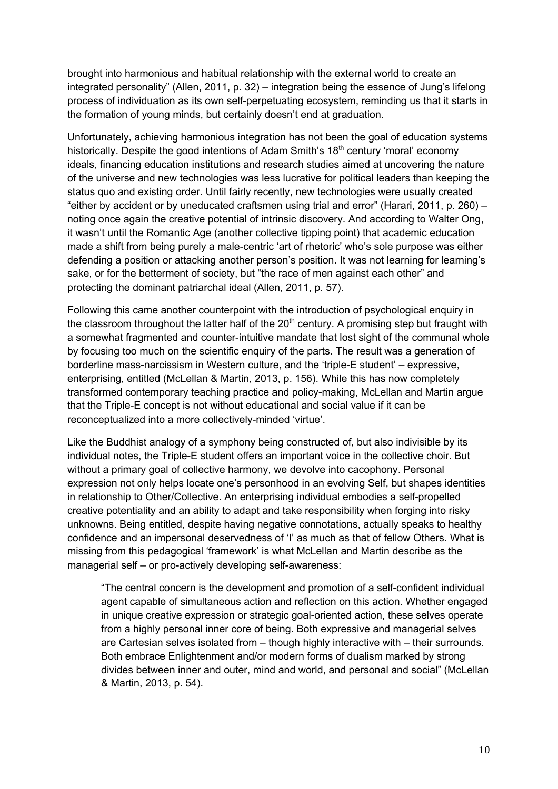brought into harmonious and habitual relationship with the external world to create an integrated personality" (Allen, 2011, p. 32) – integration being the essence of Jung's lifelong process of individuation as its own self-perpetuating ecosystem, reminding us that it starts in the formation of young minds, but certainly doesn't end at graduation.

Unfortunately, achieving harmonious integration has not been the goal of education systems historically. Despite the good intentions of Adam Smith's  $18<sup>th</sup>$  century 'moral' economy ideals, financing education institutions and research studies aimed at uncovering the nature of the universe and new technologies was less lucrative for political leaders than keeping the status quo and existing order. Until fairly recently, new technologies were usually created "either by accident or by uneducated craftsmen using trial and error" (Harari, 2011, p. 260) – noting once again the creative potential of intrinsic discovery. And according to Walter Ong, it wasn't until the Romantic Age (another collective tipping point) that academic education made a shift from being purely a male-centric 'art of rhetoric' who's sole purpose was either defending a position or attacking another person's position. It was not learning for learning's sake, or for the betterment of society, but "the race of men against each other" and protecting the dominant patriarchal ideal (Allen, 2011, p. 57).

Following this came another counterpoint with the introduction of psychological enquiry in the classroom throughout the latter half of the  $20<sup>th</sup>$  century. A promising step but fraught with a somewhat fragmented and counter-intuitive mandate that lost sight of the communal whole by focusing too much on the scientific enquiry of the parts. The result was a generation of borderline mass-narcissism in Western culture, and the 'triple-E student' – expressive, enterprising, entitled (McLellan & Martin, 2013, p. 156). While this has now completely transformed contemporary teaching practice and policy-making, McLellan and Martin argue that the Triple-E concept is not without educational and social value if it can be reconceptualized into a more collectively-minded 'virtue'.

Like the Buddhist analogy of a symphony being constructed of, but also indivisible by its individual notes, the Triple-E student offers an important voice in the collective choir. But without a primary goal of collective harmony, we devolve into cacophony. Personal expression not only helps locate one's personhood in an evolving Self, but shapes identities in relationship to Other/Collective. An enterprising individual embodies a self-propelled creative potentiality and an ability to adapt and take responsibility when forging into risky unknowns. Being entitled, despite having negative connotations, actually speaks to healthy confidence and an impersonal deservedness of 'I' as much as that of fellow Others. What is missing from this pedagogical 'framework' is what McLellan and Martin describe as the managerial self – or pro-actively developing self-awareness:

"The central concern is the development and promotion of a self-confident individual agent capable of simultaneous action and reflection on this action. Whether engaged in unique creative expression or strategic goal-oriented action, these selves operate from a highly personal inner core of being. Both expressive and managerial selves are Cartesian selves isolated from – though highly interactive with – their surrounds. Both embrace Enlightenment and/or modern forms of dualism marked by strong divides between inner and outer, mind and world, and personal and social" (McLellan & Martin, 2013, p. 54).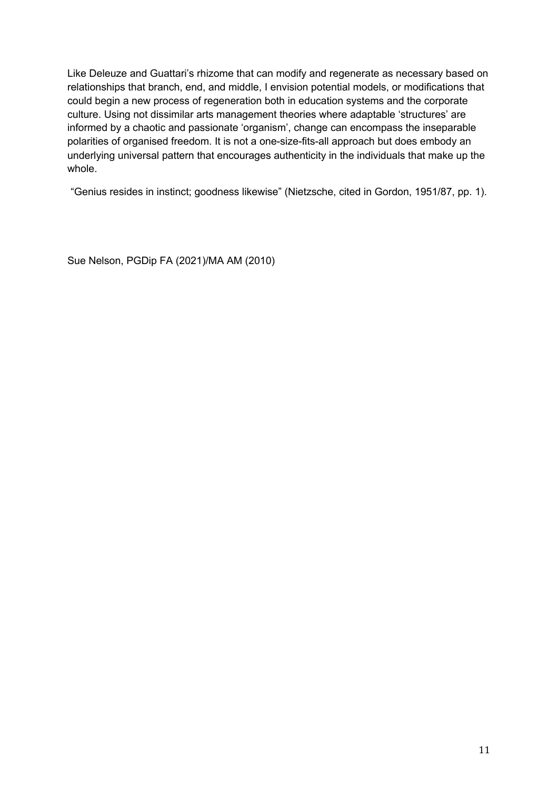Like Deleuze and Guattari's rhizome that can modify and regenerate as necessary based on relationships that branch, end, and middle, I envision potential models, or modifications that could begin a new process of regeneration both in education systems and the corporate culture. Using not dissimilar arts management theories where adaptable 'structures' are informed by a chaotic and passionate 'organism', change can encompass the inseparable polarities of organised freedom. It is not a one-size-fits-all approach but does embody an underlying universal pattern that encourages authenticity in the individuals that make up the whole.

"Genius resides in instinct; goodness likewise" (Nietzsche, cited in Gordon, 1951/87, pp. 1).

Sue Nelson, PGDip FA (2021)/MA AM (2010)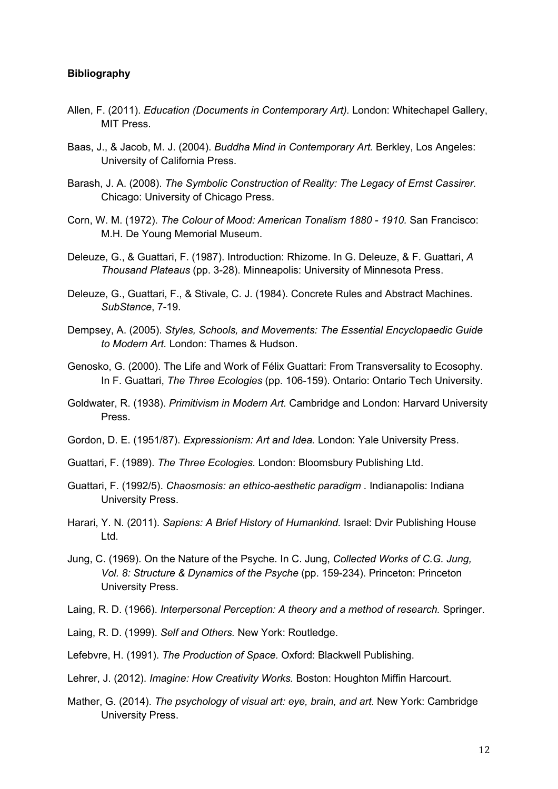#### **Bibliography**

- Allen, F. (2011). *Education (Documents in Contemporary Art).* London: Whitechapel Gallery, MIT Press.
- Baas, J., & Jacob, M. J. (2004). *Buddha Mind in Contemporary Art.* Berkley, Los Angeles: University of California Press.
- Barash, J. A. (2008). *The Symbolic Construction of Reality: The Legacy of Ernst Cassirer.* Chicago: University of Chicago Press.
- Corn, W. M. (1972). *The Colour of Mood: American Tonalism 1880 - 1910.* San Francisco: M.H. De Young Memorial Museum.
- Deleuze, G., & Guattari, F. (1987). Introduction: Rhizome. In G. Deleuze, & F. Guattari, *A Thousand Plateaus* (pp. 3-28). Minneapolis: University of Minnesota Press.
- Deleuze, G., Guattari, F., & Stivale, C. J. (1984). Concrete Rules and Abstract Machines. *SubStance*, 7-19.
- Dempsey, A. (2005). *Styles, Schools, and Movements: The Essential Encyclopaedic Guide to Modern Art.* London: Thames & Hudson.
- Genosko, G. (2000). The Life and Work of Félix Guattari: From Transversality to Ecosophy. In F. Guattari, *The Three Ecologies* (pp. 106-159). Ontario: Ontario Tech University.
- Goldwater, R. (1938). *Primitivism in Modern Art.* Cambridge and London: Harvard University Press.
- Gordon, D. E. (1951/87). *Expressionism: Art and Idea.* London: Yale University Press.
- Guattari, F. (1989). *The Three Ecologies.* London: Bloomsbury Publishing Ltd.
- Guattari, F. (1992/5). *Chaosmosis: an ethico-aesthetic paradigm .* Indianapolis: Indiana University Press.
- Harari, Y. N. (2011). *Sapiens: A Brief History of Humankind.* Israel: Dvir Publishing House Ltd.
- Jung, C. (1969). On the Nature of the Psyche. In C. Jung, *Collected Works of C.G. Jung, Vol. 8: Structure & Dynamics of the Psyche* (pp. 159-234). Princeton: Princeton University Press.
- Laing, R. D. (1966). *Interpersonal Perception: A theory and a method of research.* Springer.
- Laing, R. D. (1999). *Self and Others.* New York: Routledge.
- Lefebvre, H. (1991). *The Production of Space.* Oxford: Blackwell Publishing.
- Lehrer, J. (2012). *Imagine: How Creativity Works.* Boston: Houghton Miffin Harcourt.
- Mather, G. (2014). *The psychology of visual art: eye, brain, and art.* New York: Cambridge University Press.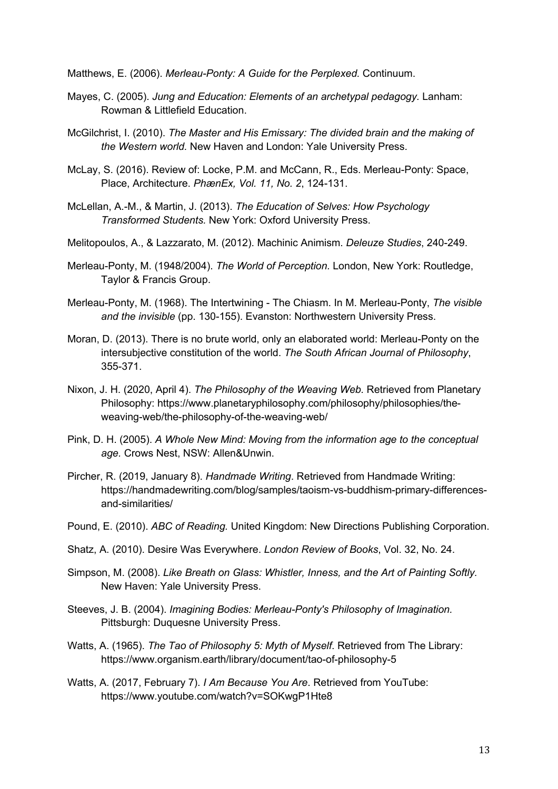Matthews, E. (2006). *Merleau-Ponty: A Guide for the Perplexed.* Continuum.

- Mayes, C. (2005). *Jung and Education: Elements of an archetypal pedagogy.* Lanham: Rowman & Littlefield Education.
- McGilchrist, I. (2010). *The Master and His Emissary: The divided brain and the making of the Western world.* New Haven and London: Yale University Press.
- McLay, S. (2016). Review of: Locke, P.M. and McCann, R., Eds. Merleau-Ponty: Space, Place, Architecture. *PhænEx, Vol. 11, No. 2*, 124-131.
- McLellan, A.-M., & Martin, J. (2013). *The Education of Selves: How Psychology Transformed Students.* New York: Oxford University Press.
- Melitopoulos, A., & Lazzarato, M. (2012). Machinic Animism. *Deleuze Studies*, 240-249.
- Merleau-Ponty, M. (1948/2004). *The World of Perception.* London, New York: Routledge, Taylor & Francis Group.
- Merleau-Ponty, M. (1968). The Intertwining The Chiasm. In M. Merleau-Ponty, *The visible and the invisible* (pp. 130-155). Evanston: Northwestern University Press.
- Moran, D. (2013). There is no brute world, only an elaborated world: Merleau-Ponty on the intersubjective constitution of the world. *The South African Journal of Philosophy*, 355-371.
- Nixon, J. H. (2020, April 4). *The Philosophy of the Weaving Web.* Retrieved from Planetary Philosophy: https://www.planetaryphilosophy.com/philosophy/philosophies/theweaving-web/the-philosophy-of-the-weaving-web/
- Pink, D. H. (2005). *A Whole New Mind: Moving from the information age to the conceptual age.* Crows Nest, NSW: Allen&Unwin.
- Pircher, R. (2019, January 8). *Handmade Writing*. Retrieved from Handmade Writing: https://handmadewriting.com/blog/samples/taoism-vs-buddhism-primary-differencesand-similarities/
- Pound, E. (2010). *ABC of Reading.* United Kingdom: New Directions Publishing Corporation.
- Shatz, A. (2010). Desire Was Everywhere. *London Review of Books*, Vol. 32, No. 24.
- Simpson, M. (2008). *Like Breath on Glass: Whistler, Inness, and the Art of Painting Softly.* New Haven: Yale University Press.
- Steeves, J. B. (2004). *Imagining Bodies: Merleau-Ponty's Philosophy of Imagination.* Pittsburgh: Duquesne University Press.
- Watts, A. (1965). *The Tao of Philosophy 5: Myth of Myself*. Retrieved from The Library: https://www.organism.earth/library/document/tao-of-philosophy-5
- Watts, A. (2017, February 7). *I Am Because You Are*. Retrieved from YouTube: https://www.youtube.com/watch?v=SOKwgP1Hte8